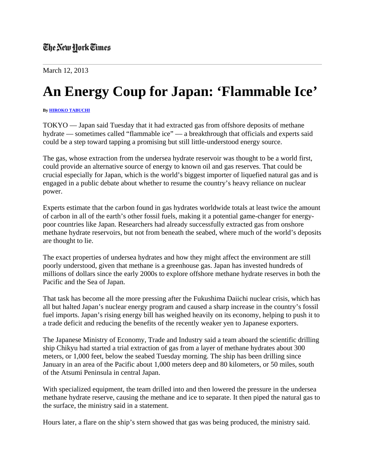March 12, 2013

## **An Energy Coup for Japan: 'Flammable Ice'**

## **By HIROKO TABUCHI**

TOKYO — Japan said Tuesday that it had extracted gas from offshore deposits of methane hydrate — sometimes called "flammable ice" — a breakthrough that officials and experts said could be a step toward tapping a promising but still little-understood energy source.

The gas, whose extraction from the undersea hydrate reservoir was thought to be a world first, could provide an alternative source of energy to known oil and gas reserves. That could be crucial especially for Japan, which is the world's biggest importer of liquefied natural gas and is engaged in a public debate about whether to resume the country's heavy reliance on nuclear power.

Experts estimate that the carbon found in gas hydrates worldwide totals at least twice the amount of carbon in all of the earth's other fossil fuels, making it a potential game-changer for energypoor countries like Japan. Researchers had already successfully extracted gas from onshore methane hydrate reservoirs, but not from beneath the seabed, where much of the world's deposits are thought to lie.

The exact properties of undersea hydrates and how they might affect the environment are still poorly understood, given that methane is a greenhouse gas. Japan has invested hundreds of millions of dollars since the early 2000s to explore offshore methane hydrate reserves in both the Pacific and the Sea of Japan.

That task has become all the more pressing after the Fukushima Daiichi nuclear crisis, which has all but halted Japan's nuclear energy program and caused a sharp increase in the country's fossil fuel imports. Japan's rising energy bill has weighed heavily on its economy, helping to push it to a trade deficit and reducing the benefits of the recently weaker yen to Japanese exporters.

The Japanese Ministry of Economy, Trade and Industry said a team aboard the scientific drilling ship Chikyu had started a trial extraction of gas from a layer of methane hydrates about 300 meters, or 1,000 feet, below the seabed Tuesday morning. The ship has been drilling since January in an area of the Pacific about 1,000 meters deep and 80 kilometers, or 50 miles, south of the Atsumi Peninsula in central Japan.

With specialized equipment, the team drilled into and then lowered the pressure in the undersea methane hydrate reserve, causing the methane and ice to separate. It then piped the natural gas to the surface, the ministry said in a statement.

Hours later, a flare on the ship's stern showed that gas was being produced, the ministry said.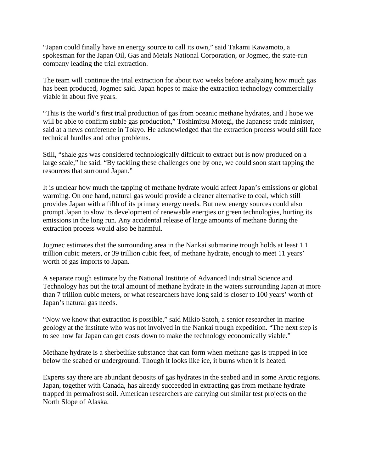"Japan could finally have an energy source to call its own," said Takami Kawamoto, a spokesman for the Japan Oil, Gas and Metals National Corporation, or Jogmec, the state-run company leading the trial extraction.

The team will continue the trial extraction for about two weeks before analyzing how much gas has been produced, Jogmec said. Japan hopes to make the extraction technology commercially viable in about five years.

"This is the world's first trial production of gas from oceanic methane hydrates, and I hope we will be able to confirm stable gas production," Toshimitsu Motegi, the Japanese trade minister, said at a news conference in Tokyo. He acknowledged that the extraction process would still face technical hurdles and other problems.

Still, "shale gas was considered technologically difficult to extract but is now produced on a large scale," he said. "By tackling these challenges one by one, we could soon start tapping the resources that surround Japan."

It is unclear how much the tapping of methane hydrate would affect Japan's emissions or global warming. On one hand, natural gas would provide a cleaner alternative to coal, which still provides Japan with a fifth of its primary energy needs. But new energy sources could also prompt Japan to slow its development of renewable energies or green technologies, hurting its emissions in the long run. Any accidental release of large amounts of methane during the extraction process would also be harmful.

Jogmec estimates that the surrounding area in the Nankai submarine trough holds at least 1.1 trillion cubic meters, or 39 trillion cubic feet, of methane hydrate, enough to meet 11 years' worth of gas imports to Japan.

A separate rough estimate by the National Institute of Advanced Industrial Science and Technology has put the total amount of methane hydrate in the waters surrounding Japan at more than 7 trillion cubic meters, or what researchers have long said is closer to 100 years' worth of Japan's natural gas needs.

"Now we know that extraction is possible," said Mikio Satoh, a senior researcher in marine geology at the institute who was not involved in the Nankai trough expedition. "The next step is to see how far Japan can get costs down to make the technology economically viable."

Methane hydrate is a sherbetlike substance that can form when methane gas is trapped in ice below the seabed or underground. Though it looks like ice, it burns when it is heated.

Experts say there are abundant deposits of gas hydrates in the seabed and in some Arctic regions. Japan, together with Canada, has already succeeded in extracting gas from methane hydrate trapped in permafrost soil. American researchers are carrying out similar test projects on the North Slope of Alaska.